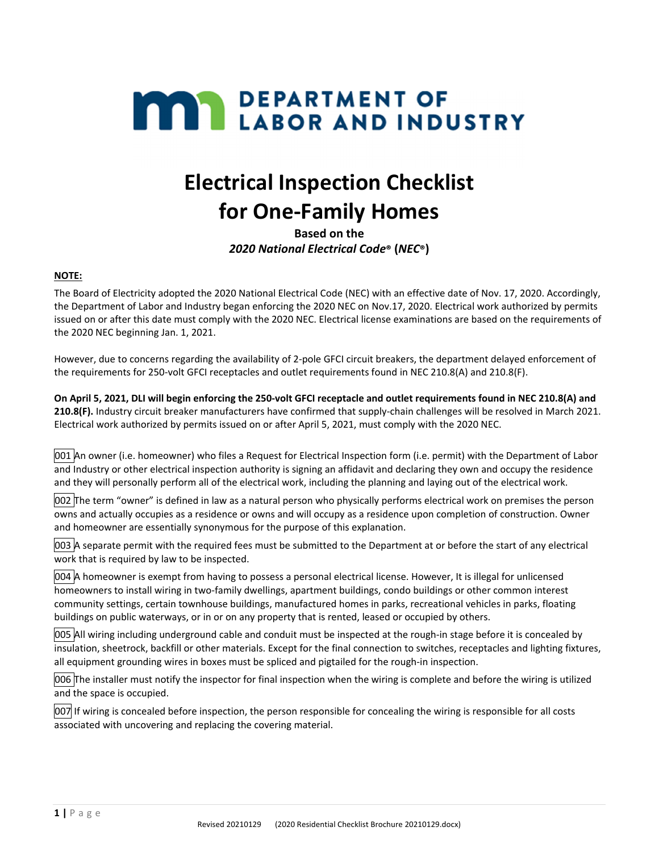# **MAY DEPARTMENT OF LABOR AND INDUSTRY**

## **Electrical Inspection Checklist for One‐Family Homes**

**Based on the**  *2020 National Electrical Code***® (***NEC***®)**

#### **NOTE:**

The Board of Electricity adopted the 2020 National Electrical Code (NEC) with an effective date of Nov. 17, 2020. Accordingly, the Department of Labor and Industry began enforcing the 2020 NEC on Nov.17, 2020. Electrical work authorized by permits issued on or after this date must comply with the 2020 NEC. Electrical license examinations are based on the requirements of the 2020 NEC beginning Jan. 1, 2021.

However, due to concerns regarding the availability of 2‐pole GFCI circuit breakers, the department delayed enforcement of the requirements for 250-volt GFCI receptacles and outlet requirements found in NEC 210.8(A) and 210.8(F).

On April 5, 2021, DLI will begin enforcing the 250-volt GFCI receptacle and outlet requirements found in NEC 210.8(A) and **210.8(F).** Industry circuit breaker manufacturers have confirmed that supply‐chain challenges will be resolved in March 2021. Electrical work authorized by permits issued on or after April 5, 2021, must comply with the 2020 NEC.

001 An owner (i.e. homeowner) who files a Request for Electrical Inspection form (i.e. permit) with the Department of Labor and Industry or other electrical inspection authority is signing an affidavit and declaring they own and occupy the residence and they will personally perform all of the electrical work, including the planning and laying out of the electrical work.

002 The term "owner" is defined in law as a natural person who physically performs electrical work on premises the person owns and actually occupies as a residence or owns and will occupy as a residence upon completion of construction. Owner and homeowner are essentially synonymous for the purpose of this explanation.

003 A separate permit with the required fees must be submitted to the Department at or before the start of any electrical work that is required by law to be inspected.

004 A homeowner is exempt from having to possess a personal electrical license. However, It is illegal for unlicensed homeowners to install wiring in two-family dwellings, apartment buildings, condo buildings or other common interest community settings, certain townhouse buildings, manufactured homes in parks, recreational vehicles in parks, floating buildings on public waterways, or in or on any property that is rented, leased or occupied by others.

005 All wiring including underground cable and conduit must be inspected at the rough‐in stage before it is concealed by insulation, sheetrock, backfill or other materials. Except for the final connection to switches, receptacles and lighting fixtures, all equipment grounding wires in boxes must be spliced and pigtailed for the rough-in inspection.

006 The installer must notify the inspector for final inspection when the wiring is complete and before the wiring is utilized and the space is occupied.

007 If wiring is concealed before inspection, the person responsible for concealing the wiring is responsible for all costs associated with uncovering and replacing the covering material.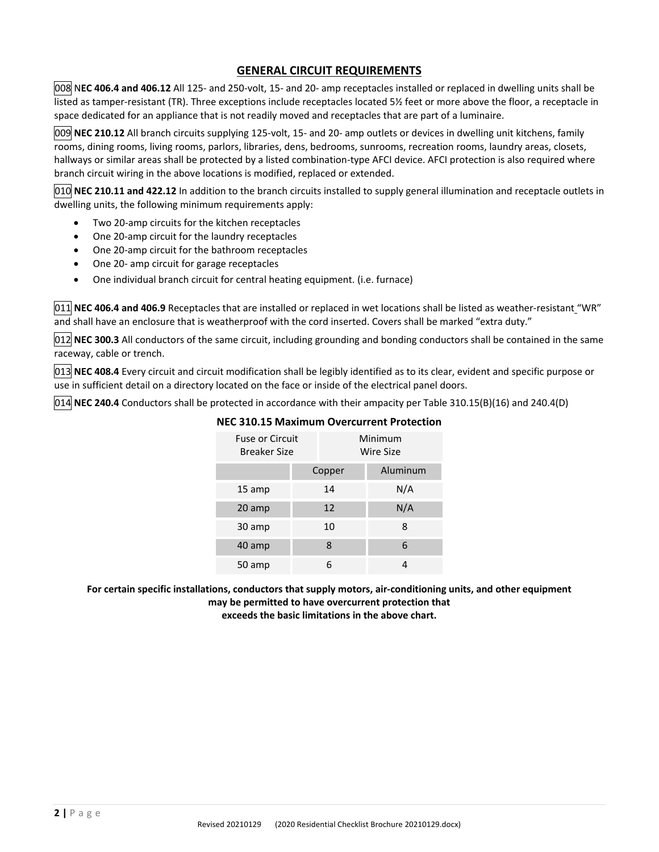#### **GENERAL CIRCUIT REQUIREMENTS**

008 N**EC 406.4 and 406.12** All 125‐ and 250‐volt, 15‐ and 20‐ amp receptacles installed or replaced in dwelling units shall be listed as tamper-resistant (TR). Three exceptions include receptacles located 5½ feet or more above the floor, a receptacle in space dedicated for an appliance that is not readily moved and receptacles that are part of a luminaire.

009 **NEC 210.12** All branch circuits supplying 125‐volt, 15‐ and 20‐ amp outlets or devices in dwelling unit kitchens, family rooms, dining rooms, living rooms, parlors, libraries, dens, bedrooms, sunrooms, recreation rooms, laundry areas, closets, hallways or similar areas shall be protected by a listed combination‐type AFCI device. AFCI protection is also required where branch circuit wiring in the above locations is modified, replaced or extended.

010 **NEC 210.11 and 422.12** In addition to the branch circuits installed to supply general illumination and receptacle outlets in dwelling units, the following minimum requirements apply:

- Two 20-amp circuits for the kitchen receptacles
- One 20-amp circuit for the laundry receptacles
- One 20‐amp circuit for the bathroom receptacles
- One 20‐ amp circuit for garage receptacles
- One individual branch circuit for central heating equipment. (i.e. furnace)

011 **NEC 406.4 and 406.9** Receptacles that are installed or replaced in wet locations shall be listed as weather‐resistant "WR" and shall have an enclosure that is weatherproof with the cord inserted. Covers shall be marked "extra duty."

012 **NEC 300.3** All conductors of the same circuit, including grounding and bonding conductors shall be contained in the same raceway, cable or trench.

013 **NEC 408.4** Every circuit and circuit modification shall be legibly identified as to its clear, evident and specific purpose or use in sufficient detail on a directory located on the face or inside of the electrical panel doors.

014 **NEC 240.4** Conductors shall be protected in accordance with their ampacity per Table 310.15(B)(16) and 240.4(D)

| <b>Fuse or Circuit</b><br><b>Breaker Size</b> |        | Minimum<br>Wire Size |  |
|-----------------------------------------------|--------|----------------------|--|
|                                               | Copper | Aluminum             |  |
| 15 amp                                        | 14     | N/A                  |  |
| 20 amp                                        | 12     | N/A                  |  |
| 30 amp                                        | 10     | 8                    |  |
| 40 amp                                        | 8      | 6                    |  |
| 50 amp                                        |        | 4                    |  |

#### **NEC 310.15 Maximum Overcurrent Protection**

**For certain specific installations, conductors that supply motors, air‐conditioning units, and other equipment may be permitted to have overcurrent protection that** 

**exceeds the basic limitations in the above chart.**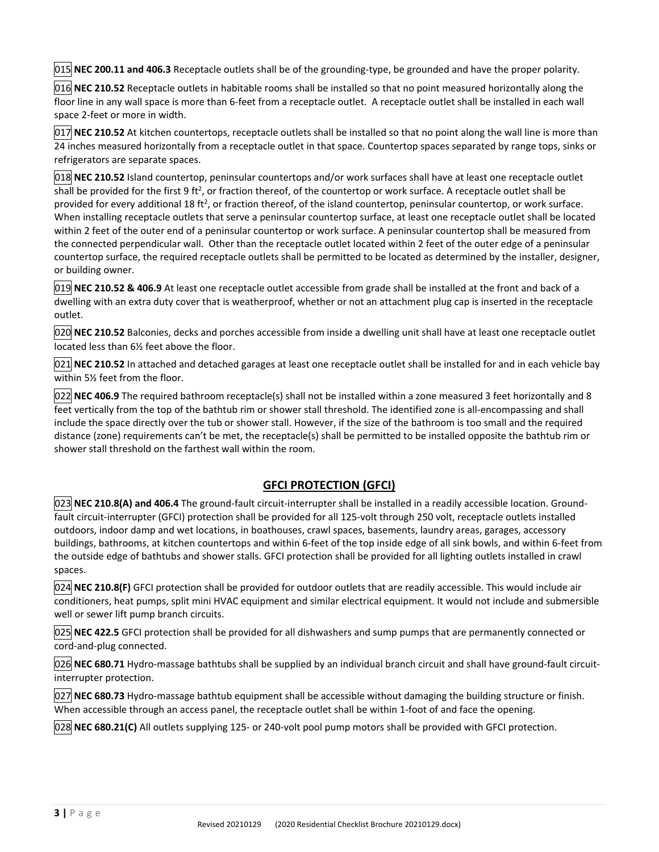015 **NEC 200.11 and 406.3** Receptacle outlets shall be of the grounding‐type, be grounded and have the proper polarity.

016 **NEC 210.52** Receptacle outlets in habitable rooms shall be installed so that no point measured horizontally along the floor line in any wall space is more than 6-feet from a receptacle outlet. A receptacle outlet shall be installed in each wall space 2‐feet or more in width.

017 **NEC 210.52** At kitchen countertops, receptacle outlets shall be installed so that no point along the wall line is more than 24 inches measured horizontally from a receptacle outlet in that space. Countertop spaces separated by range tops, sinks or refrigerators are separate spaces.

018 **NEC 210.52** Island countertop, peninsular countertops and/or work surfaces shall have at least one receptacle outlet shall be provided for the first 9 ft<sup>2</sup>, or fraction thereof, of the countertop or work surface. A receptacle outlet shall be provided for every additional 18 ft<sup>2</sup>, or fraction thereof, of the island countertop, peninsular countertop, or work surface. When installing receptacle outlets that serve a peninsular countertop surface, at least one receptacle outlet shall be located within 2 feet of the outer end of a peninsular countertop or work surface. A peninsular countertop shall be measured from the connected perpendicular wall. Other than the receptacle outlet located within 2 feet of the outer edge of a peninsular countertop surface, the required receptacle outlets shall be permitted to be located as determined by the installer, designer, or building owner.

019 **NEC 210.52 & 406.9** At least one receptacle outlet accessible from grade shall be installed at the front and back of a dwelling with an extra duty cover that is weatherproof, whether or not an attachment plug cap is inserted in the receptacle outlet.

020 **NEC 210.52** Balconies, decks and porches accessible from inside a dwelling unit shall have at least one receptacle outlet located less than 6½ feet above the floor.

021 **NEC 210.52** In attached and detached garages at least one receptacle outlet shall be installed for and in each vehicle bay within 5½ feet from the floor.

022 **NEC 406.9** The required bathroom receptacle(s) shall not be installed within a zone measured 3 feet horizontally and 8 feet vertically from the top of the bathtub rim or shower stall threshold. The identified zone is all-encompassing and shall include the space directly over the tub or shower stall. However, if the size of the bathroom is too small and the required distance (zone) requirements can't be met, the receptacle(s) shall be permitted to be installed opposite the bathtub rim or shower stall threshold on the farthest wall within the room.

#### **GFCI PROTECTION (GFCI)**

023 **NEC 210.8(A) and 406.4** The ground‐fault circuit‐interrupter shall be installed in a readily accessible location. Ground‐ fault circuit‐interrupter (GFCI) protection shall be provided for all 125‐volt through 250 volt, receptacle outlets installed outdoors, indoor damp and wet locations, in boathouses, crawl spaces, basements, laundry areas, garages, accessory buildings, bathrooms, at kitchen countertops and within 6‐feet of the top inside edge of all sink bowls, and within 6‐feet from the outside edge of bathtubs and shower stalls. GFCI protection shall be provided for all lighting outlets installed in crawl spaces.

024 **NEC 210.8(F)** GFCI protection shall be provided for outdoor outlets that are readily accessible. This would include air conditioners, heat pumps, split mini HVAC equipment and similar electrical equipment. It would not include and submersible well or sewer lift pump branch circuits.

025 **NEC 422.5** GFCI protection shall be provided for all dishwashers and sump pumps that are permanently connected or cord‐and‐plug connected.

026 **NEC 680.71** Hydro‐massage bathtubs shall be supplied by an individual branch circuit and shall have ground‐fault circuit‐ interrupter protection.

027 **NEC 680.73** Hydro‐massage bathtub equipment shall be accessible without damaging the building structure or finish. When accessible through an access panel, the receptacle outlet shall be within 1-foot of and face the opening.

028 **NEC 680.21(C)** All outlets supplying 125‐ or 240‐volt pool pump motors shall be provided with GFCI protection.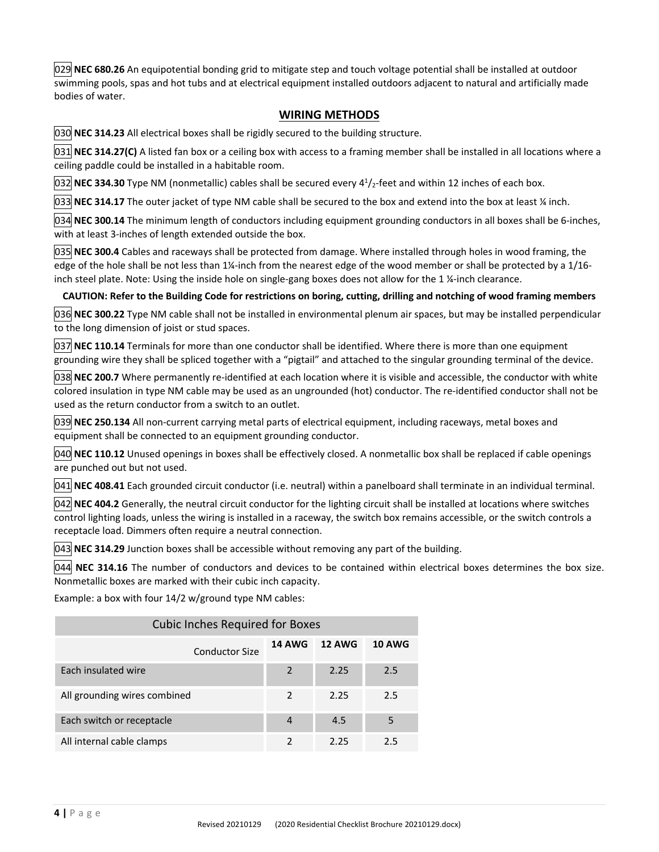029 **NEC 680.26** An equipotential bonding grid to mitigate step and touch voltage potential shall be installed at outdoor swimming pools, spas and hot tubs and at electrical equipment installed outdoors adjacent to natural and artificially made bodies of water.

#### **WIRING METHODS**

030 **NEC 314.23** All electrical boxes shall be rigidly secured to the building structure.

031 **NEC 314.27(C)** A listed fan box or a ceiling box with access to a framing member shall be installed in all locations where a ceiling paddle could be installed in a habitable room.

032 NEC 334.30 Type NM (nonmetallic) cables shall be secured every 4<sup>1</sup>/<sub>2</sub>-feet and within 12 inches of each box.

033 **NEC 314.17** The outer jacket of type NM cable shall be secured to the box and extend into the box at least ¼ inch.

034 **NEC 300.14** The minimum length of conductors including equipment grounding conductors in all boxes shall be 6‐inches, with at least 3-inches of length extended outside the box.

035 **NEC 300.4** Cables and raceways shall be protected from damage. Where installed through holes in wood framing, the edge of the hole shall be not less than 1¼-inch from the nearest edge of the wood member or shall be protected by a 1/16inch steel plate. Note: Using the inside hole on single‐gang boxes does not allow for the 1 ¼‐inch clearance.

CAUTION: Refer to the Building Code for restrictions on boring, cutting, drilling and notching of wood framing members

036 **NEC 300.22** Type NM cable shall not be installed in environmental plenum air spaces, but may be installed perpendicular to the long dimension of joist or stud spaces.

037 **NEC 110.14** Terminals for more than one conductor shall be identified. Where there is more than one equipment grounding wire they shall be spliced together with a "pigtail" and attached to the singular grounding terminal of the device.

038 **NEC 200.7** Where permanently re‐identified at each location where it is visible and accessible, the conductor with white colored insulation in type NM cable may be used as an ungrounded (hot) conductor. The re-identified conductor shall not be used as the return conductor from a switch to an outlet.

039 **NEC 250.134** All non‐current carrying metal parts of electrical equipment, including raceways, metal boxes and equipment shall be connected to an equipment grounding conductor.

040 **NEC 110.12** Unused openings in boxes shall be effectively closed. A nonmetallic box shall be replaced if cable openings are punched out but not used.

041 **NEC 408.41** Each grounded circuit conductor (i.e. neutral) within a panelboard shall terminate in an individual terminal.

042 **NEC 404.2** Generally, the neutral circuit conductor for the lighting circuit shall be installed at locations where switches control lighting loads, unless the wiring is installed in a raceway, the switch box remains accessible, or the switch controls a receptacle load. Dimmers often require a neutral connection.

043 **NEC 314.29** Junction boxes shall be accessible without removing any part of the building.

044 **NEC 314.16** The number of conductors and devices to be contained within electrical boxes determines the box size. Nonmetallic boxes are marked with their cubic inch capacity.

Example: a box with four 14/2 w/ground type NM cables:

| <b>Cubic Inches Required for Boxes</b> |                |               |               |
|----------------------------------------|----------------|---------------|---------------|
| <b>Conductor Size</b>                  | <b>14 AWG</b>  | <b>12 AWG</b> | <b>10 AWG</b> |
| Each insulated wire                    | 2              | 2.25          | 2.5           |
| All grounding wires combined           | $\mathfrak{p}$ | 2.25          | 2.5           |
| Each switch or receptacle              | $\overline{4}$ | 4.5           | 5             |
| All internal cable clamps              | $\mathcal{P}$  | 2.25          | 25            |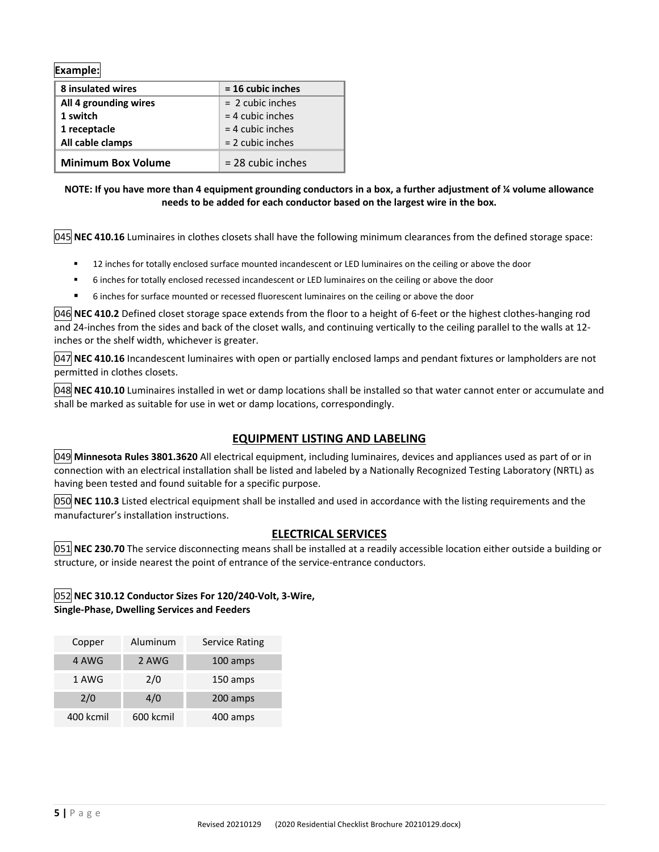**Example:**

| 8 insulated wires         | $= 16$ cubic inches |
|---------------------------|---------------------|
| All 4 grounding wires     | $= 2$ cubic inches  |
| 1 switch                  | $=$ 4 cubic inches  |
| 1 receptacle              | $=$ 4 cubic inches  |
| All cable clamps          | $= 2$ cubic inches  |
| <b>Minimum Box Volume</b> | $= 28$ cubic inches |

#### NOTE: If you have more than 4 equipment grounding conductors in a box, a further adjustment of % volume allowance **needs to be added for each conductor based on the largest wire in the box.**

045 **NEC 410.16** Luminaires in clothes closets shall have the following minimum clearances from the defined storage space:

- 12 inches for totally enclosed surface mounted incandescent or LED luminaires on the ceiling or above the door
- 6 inches for totally enclosed recessed incandescent or LED luminaires on the ceiling or above the door
- 6 inches for surface mounted or recessed fluorescent luminaires on the ceiling or above the door

046 **NEC 410.2** Defined closet storage space extends from the floor to a height of 6‐feet or the highest clothes‐hanging rod and 24‐inches from the sides and back of the closet walls, and continuing vertically to the ceiling parallel to the walls at 12‐ inches or the shelf width, whichever is greater.

047 **NEC 410.16** Incandescent luminaires with open or partially enclosed lamps and pendant fixtures or lampholders are not permitted in clothes closets.

048 **NEC 410.10** Luminaires installed in wet or damp locations shall be installed so that water cannot enter or accumulate and shall be marked as suitable for use in wet or damp locations, correspondingly.

#### **EQUIPMENT LISTING AND LABELING**

049 **Minnesota Rules 3801.3620** All electrical equipment, including luminaires, devices and appliances used as part of or in connection with an electrical installation shall be listed and labeled by a Nationally Recognized Testing Laboratory (NRTL) as having been tested and found suitable for a specific purpose.

050 **NEC 110.3** Listed electrical equipment shall be installed and used in accordance with the listing requirements and the manufacturer's installation instructions.

#### **ELECTRICAL SERVICES**

**051 NEC 230.70** The service disconnecting means shall be installed at a readily accessible location either outside a building or structure, or inside nearest the point of entrance of the service‐entrance conductors.

#### 052 **NEC 310.12 Conductor Sizes For 120/240‐Volt, 3‐Wire, Single‐Phase, Dwelling Services and Feeders**

| Copper    | Aluminum  | <b>Service Rating</b> |
|-----------|-----------|-----------------------|
| 4 AWG     | 2 AWG     | 100 amps              |
| 1 AWG     | 2/0       | 150 amps              |
| 2/0       | 4/0       | 200 amps              |
| 400 kcmil | 600 kcmil | 400 amps              |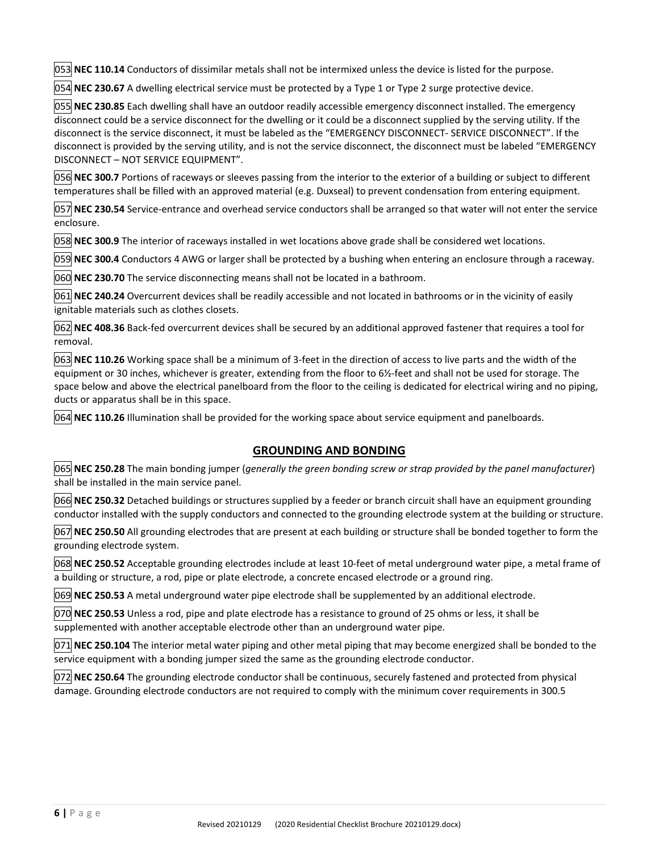053 **NEC 110.14** Conductors of dissimilar metals shall not be intermixed unless the device is listed for the purpose.

054 **NEC 230.67** A dwelling electrical service must be protected by a Type 1 or Type 2 surge protective device.

055 **NEC 230.85** Each dwelling shall have an outdoor readily accessible emergency disconnect installed. The emergency disconnect could be a service disconnect for the dwelling or it could be a disconnect supplied by the serving utility. If the disconnect is the service disconnect, it must be labeled as the "EMERGENCY DISCONNECT‐ SERVICE DISCONNECT". If the disconnect is provided by the serving utility, and is not the service disconnect, the disconnect must be labeled "EMERGENCY DISCONNECT – NOT SERVICE EQUIPMENT".

056 **NEC 300.7** Portions of raceways or sleeves passing from the interior to the exterior of a building or subject to different temperatures shall be filled with an approved material (e.g. Duxseal) to prevent condensation from entering equipment.

057 **NEC 230.54** Service‐entrance and overhead service conductors shall be arranged so that water will not enter the service enclosure.

058 **NEC 300.9** The interior of raceways installed in wet locations above grade shall be considered wet locations.

059 **NEC 300.4** Conductors 4 AWG or larger shall be protected by a bushing when entering an enclosure through a raceway.

060 **NEC 230.70** The service disconnecting means shall not be located in a bathroom.

061 **NEC 240.24** Overcurrent devices shall be readily accessible and not located in bathrooms or in the vicinity of easily ignitable materials such as clothes closets.

062 **NEC 408.36** Back‐fed overcurrent devices shall be secured by an additional approved fastener that requires a tool for removal.

063 **NEC 110.26** Working space shall be a minimum of 3‐feet in the direction of access to live parts and the width of the equipment or 30 inches, whichever is greater, extending from the floor to 6½-feet and shall not be used for storage. The space below and above the electrical panelboard from the floor to the ceiling is dedicated for electrical wiring and no piping, ducts or apparatus shall be in this space.

064 **NEC 110.26** Illumination shall be provided for the working space about service equipment and panelboards.

#### **GROUNDING AND BONDING**

065 **NEC 250.28** The main bonding jumper (*generally the green bonding screw or strap provided by the panel manufacturer*) shall be installed in the main service panel.

066 **NEC 250.32** Detached buildings or structures supplied by a feeder or branch circuit shall have an equipment grounding conductor installed with the supply conductors and connected to the grounding electrode system at the building or structure.

067 **NEC 250.50** All grounding electrodes that are present at each building or structure shall be bonded together to form the grounding electrode system.

068 **NEC 250.52** Acceptable grounding electrodes include at least 10‐feet of metal underground water pipe, a metal frame of a building or structure, a rod, pipe or plate electrode, a concrete encased electrode or a ground ring.

069 **NEC 250.53** A metal underground water pipe electrode shall be supplemented by an additional electrode.

070 **NEC 250.53** Unless a rod, pipe and plate electrode has a resistance to ground of 25 ohms or less, it shall be supplemented with another acceptable electrode other than an underground water pipe.

071 **NEC 250.104** The interior metal water piping and other metal piping that may become energized shall be bonded to the service equipment with a bonding jumper sized the same as the grounding electrode conductor.

072 **NEC 250.64** The grounding electrode conductor shall be continuous, securely fastened and protected from physical damage. Grounding electrode conductors are not required to comply with the minimum cover requirements in 300.5